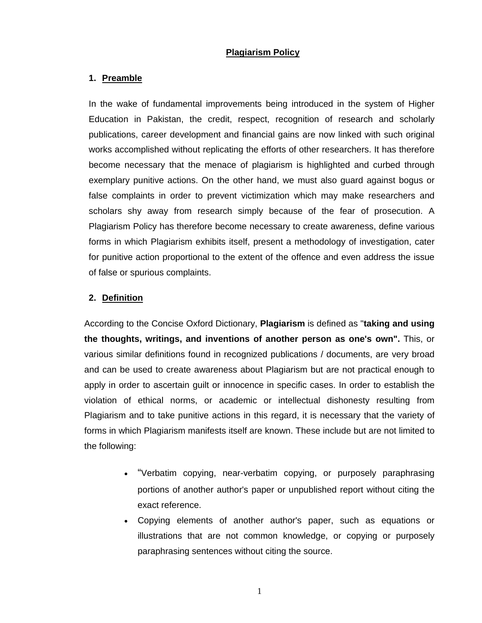# **Plagiarism Policy**

## **1. Preamble**

In the wake of fundamental improvements being introduced in the system of Higher Education in Pakistan, the credit, respect, recognition of research and scholarly publications, career development and financial gains are now linked with such original works accomplished without replicating the efforts of other researchers. It has therefore become necessary that the menace of plagiarism is highlighted and curbed through exemplary punitive actions. On the other hand, we must also guard against bogus or false complaints in order to prevent victimization which may make researchers and scholars shy away from research simply because of the fear of prosecution. A Plagiarism Policy has therefore become necessary to create awareness, define various forms in which Plagiarism exhibits itself, present a methodology of investigation, cater for punitive action proportional to the extent of the offence and even address the issue of false or spurious complaints.

## **2. Definition**

According to the Concise Oxford Dictionary, **Plagiarism** is defined as "**taking and using the thoughts, writings, and inventions of another person as one's own".** This, or various similar definitions found in recognized publications / documents, are very broad and can be used to create awareness about Plagiarism but are not practical enough to apply in order to ascertain guilt or innocence in specific cases. In order to establish the violation of ethical norms, or academic or intellectual dishonesty resulting from Plagiarism and to take punitive actions in this regard, it is necessary that the variety of forms in which Plagiarism manifests itself are known. These include but are not limited to the following:

- "Verbatim copying, near-verbatim copying, or purposely paraphrasing portions of another author's paper or unpublished report without citing the exact reference.
- Copying elements of another author's paper, such as equations or illustrations that are not common knowledge, or copying or purposely paraphrasing sentences without citing the source.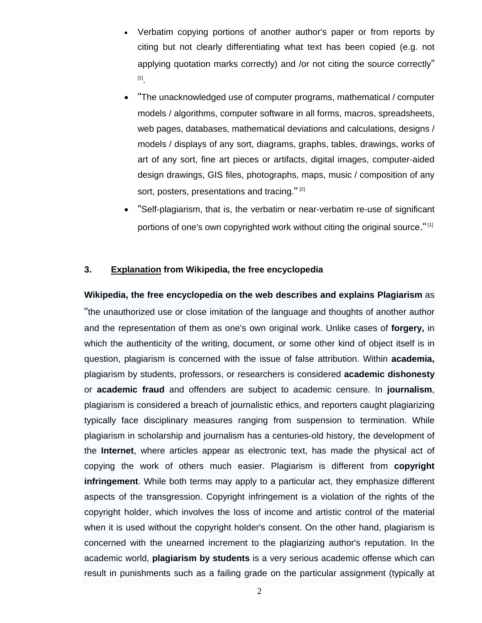- Verbatim copying portions of another author's paper or from reports by citing but not clearly differentiating what text has been copied (e.g. not applying quotation marks correctly) and /or not citing the source correctly" [1].
- "The unacknowledged use of computer programs, mathematical / computer models / algorithms, computer software in all forms, macros, spreadsheets, web pages, databases, mathematical deviations and calculations, designs / models / displays of any sort, diagrams, graphs, tables, drawings, works of art of any sort, fine art pieces or artifacts, digital images, computer-aided design drawings, GIS files, photographs, maps, music / composition of any sort, posters, presentations and tracing."<sup>[2]</sup>
- "Self-plagiarism, that is, the verbatim or near-verbatim re-use of significant portions of one's own copyrighted work without citing the original source."<sup>[1]</sup>

### **3. Explanation from Wikipedia, the free encyclopedia**

**Wikipedia, the free encyclopedia on the web describes and explains Plagiarism** as "the unauthorized use or close imitation of the language and thoughts of another author and the representation of them as one's own original work. Unlike cases of **forgery,** in which the authenticity of the writing, document, or some other kind of object itself is in question, plagiarism is concerned with the issue of false attribution. Within **academia,** plagiarism by students, professors, or researchers is considered **academic dishonesty**  or **academic fraud** and offenders are subject to academic censure. In **journalism**, plagiarism is considered a breach of journalistic ethics, and reporters caught plagiarizing typically face disciplinary measures ranging from suspension to termination. While plagiarism in scholarship and journalism has a centuries-old history, the development of the **Internet**, where articles appear as electronic text, has made the physical act of copying the work of others much easier. Plagiarism is different from **copyright infringement**. While both terms may apply to a particular act, they emphasize different aspects of the transgression. Copyright infringement is a violation of the rights of the copyright holder, which involves the loss of income and artistic control of the material when it is used without the copyright holder's consent. On the other hand, plagiarism is concerned with the unearned increment to the plagiarizing author's reputation. In the academic world, **plagiarism by students** is a very serious academic offense which can result in punishments such as a failing grade on the particular assignment (typically at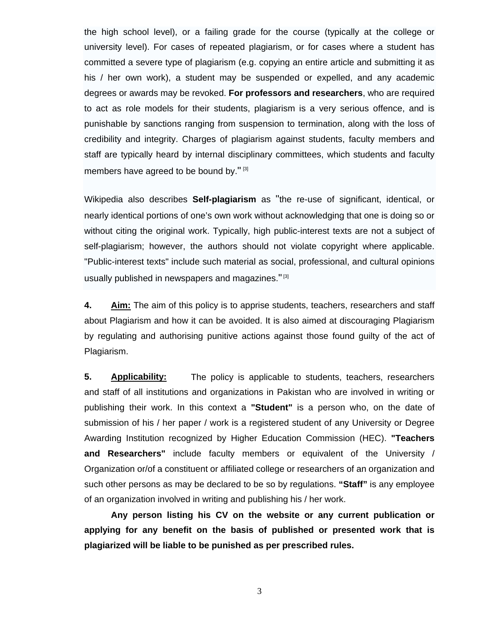the high school level), or a failing grade for the course (typically at the college or university level). For cases of repeated plagiarism, or for cases where a student has committed a severe type of plagiarism (e.g. copying an entire article and submitting it as his / her own work), a student may be suspended or expelled, and any academic degrees or awards may be revoked. **For professors and researchers**, who are required to act as role models for their students, plagiarism is a very serious offence, and is punishable by sanctions ranging from suspension to termination, along with the loss of credibility and integrity. Charges of plagiarism against students, faculty members and staff are typically heard by internal disciplinary committees, which students and faculty members have agreed to be bound by." [3]

Wikipedia also describes **Self-plagiarism** as "the re-use of significant, identical, or nearly identical portions of one's own work without acknowledging that one is doing so or without citing the original work. Typically, high public-interest texts are not a subject of self-plagiarism; however, the authors should not violate copyright where applicable. "Public-interest texts" include such material as social, professional, and cultural opinions usually published in newspapers and magazines."<sup>[3]</sup>

**4. Aim:** The aim of this policy is to apprise students, teachers, researchers and staff about Plagiarism and how it can be avoided. It is also aimed at discouraging Plagiarism by regulating and authorising punitive actions against those found guilty of the act of Plagiarism.

**5. Applicability:** The policy is applicable to students, teachers, researchers and staff of all institutions and organizations in Pakistan who are involved in writing or publishing their work. In this context a **"Student"** is a person who, on the date of submission of his / her paper / work is a registered student of any University or Degree Awarding Institution recognized by Higher Education Commission (HEC). **"Teachers and Researchers"** include faculty members or equivalent of the University / Organization or/of a constituent or affiliated college or researchers of an organization and such other persons as may be declared to be so by regulations. **"Staff"** is any employee of an organization involved in writing and publishing his / her work.

**Any person listing his CV on the website or any current publication or applying for any benefit on the basis of published or presented work that is plagiarized will be liable to be punished as per prescribed rules.**

3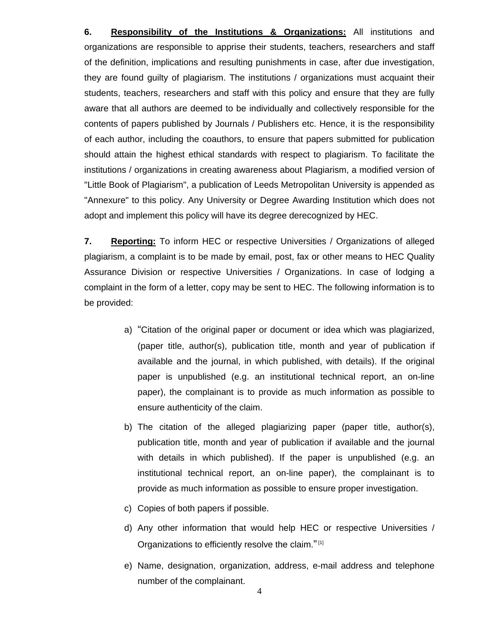**6. Responsibility of the Institutions & Organizations:** All institutions and organizations are responsible to apprise their students, teachers, researchers and staff of the definition, implications and resulting punishments in case, after due investigation, they are found guilty of plagiarism. The institutions / organizations must acquaint their students, teachers, researchers and staff with this policy and ensure that they are fully aware that all authors are deemed to be individually and collectively responsible for the contents of papers published by Journals / Publishers etc. Hence, it is the responsibility of each author, including the coauthors, to ensure that papers submitted for publication should attain the highest ethical standards with respect to plagiarism. To facilitate the institutions / organizations in creating awareness about Plagiarism, a modified version of "Little Book of Plagiarism", a publication of Leeds Metropolitan University is appended as "Annexure" to this policy. Any University or Degree Awarding Institution which does not adopt and implement this policy will have its degree derecognized by HEC.

**7. Reporting:** To inform HEC or respective Universities / Organizations of alleged plagiarism, a complaint is to be made by email, post, fax or other means to HEC Quality Assurance Division or respective Universities / Organizations. In case of lodging a complaint in the form of a letter, copy may be sent to HEC. The following information is to be provided:

- a) "Citation of the original paper or document or idea which was plagiarized, (paper title, author(s), publication title, month and year of publication if available and the journal, in which published, with details). If the original paper is unpublished (e.g. an institutional technical report, an on-line paper), the complainant is to provide as much information as possible to ensure authenticity of the claim.
- b) The citation of the alleged plagiarizing paper (paper title, author(s), publication title, month and year of publication if available and the journal with details in which published). If the paper is unpublished (e.g. an institutional technical report, an on-line paper), the complainant is to provide as much information as possible to ensure proper investigation.
- c) Copies of both papers if possible.
- d) Any other information that would help HEC or respective Universities / Organizations to efficiently resolve the claim."<sup>[1]</sup>
- e) Name, designation, organization, address, e-mail address and telephone number of the complainant.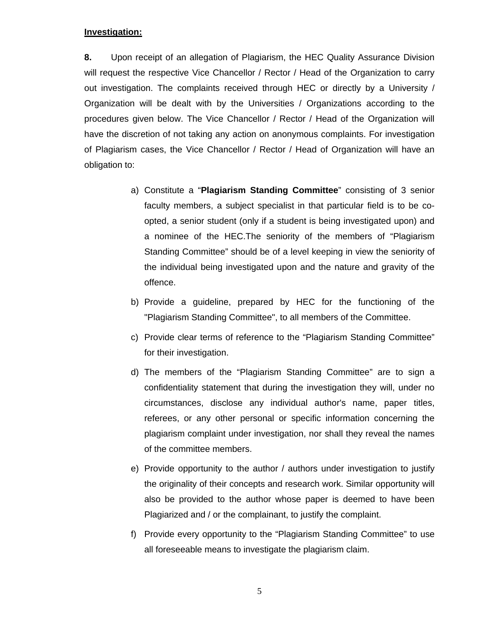## **Investigation:**

**8.** Upon receipt of an allegation of Plagiarism, the HEC Quality Assurance Division will request the respective Vice Chancellor / Rector / Head of the Organization to carry out investigation. The complaints received through HEC or directly by a University / Organization will be dealt with by the Universities / Organizations according to the procedures given below. The Vice Chancellor / Rector / Head of the Organization will have the discretion of not taking any action on anonymous complaints. For investigation of Plagiarism cases, the Vice Chancellor / Rector / Head of Organization will have an obligation to:

- a) Constitute a "**Plagiarism Standing Committee**" consisting of 3 senior faculty members, a subject specialist in that particular field is to be coopted, a senior student (only if a student is being investigated upon) and a nominee of the HEC.The seniority of the members of "Plagiarism Standing Committee" should be of a level keeping in view the seniority of the individual being investigated upon and the nature and gravity of the offence.
- b) Provide a guideline, prepared by HEC for the functioning of the "Plagiarism Standing Committee", to all members of the Committee.
- c) Provide clear terms of reference to the "Plagiarism Standing Committee" for their investigation.
- d) The members of the "Plagiarism Standing Committee" are to sign a confidentiality statement that during the investigation they will, under no circumstances, disclose any individual author's name, paper titles, referees, or any other personal or specific information concerning the plagiarism complaint under investigation, nor shall they reveal the names of the committee members.
- e) Provide opportunity to the author / authors under investigation to justify the originality of their concepts and research work. Similar opportunity will also be provided to the author whose paper is deemed to have been Plagiarized and / or the complainant, to justify the complaint.
- f) Provide every opportunity to the "Plagiarism Standing Committee" to use all foreseeable means to investigate the plagiarism claim.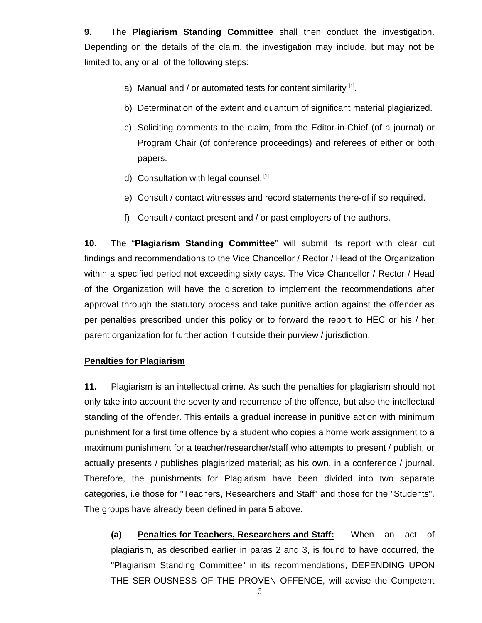**9.** The **Plagiarism Standing Committee** shall then conduct the investigation. Depending on the details of the claim, the investigation may include, but may not be limited to, any or all of the following steps:

- a) Manual and / or automated tests for content similarity  $[1]$ .
- b) Determination of the extent and quantum of significant material plagiarized.
- c) Soliciting comments to the claim, from the Editor-in-Chief (of a journal) or Program Chair (of conference proceedings) and referees of either or both papers.
- d) Consultation with legal counsel. [1]
- e) Consult / contact witnesses and record statements there-of if so required.
- f) Consult / contact present and / or past employers of the authors.

**10.** The "**Plagiarism Standing Committee**" will submit its report with clear cut findings and recommendations to the Vice Chancellor / Rector / Head of the Organization within a specified period not exceeding sixty days. The Vice Chancellor / Rector / Head of the Organization will have the discretion to implement the recommendations after approval through the statutory process and take punitive action against the offender as per penalties prescribed under this policy or to forward the report to HEC or his / her parent organization for further action if outside their purview / jurisdiction.

# **Penalties for Plagiarism**

**11.** Plagiarism is an intellectual crime. As such the penalties for plagiarism should not only take into account the severity and recurrence of the offence, but also the intellectual standing of the offender. This entails a gradual increase in punitive action with minimum punishment for a first time offence by a student who copies a home work assignment to a maximum punishment for a teacher/researcher/staff who attempts to present / publish, or actually presents / publishes plagiarized material; as his own, in a conference / journal. Therefore, the punishments for Plagiarism have been divided into two separate categories, i.e those for "Teachers, Researchers and Staff" and those for the "Students". The groups have already been defined in para 5 above.

**(a) Penalties for Teachers, Researchers and Staff:** When an act of plagiarism, as described earlier in paras 2 and 3, is found to have occurred, the "Plagiarism Standing Committee" in its recommendations, DEPENDING UPON THE SERIOUSNESS OF THE PROVEN OFFENCE, will advise the Competent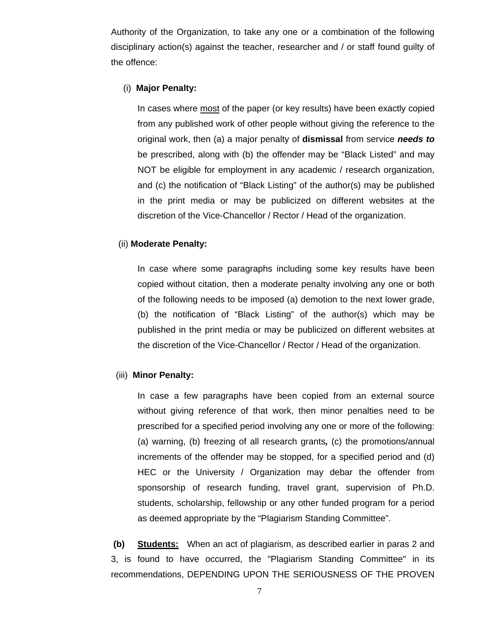Authority of the Organization, to take any one or a combination of the following disciplinary action(s) against the teacher, researcher and / or staff found guilty of the offence:

#### (i) **Major Penalty:**

In cases where most of the paper (or key results) have been exactly copied from any published work of other people without giving the reference to the original work, then (a) a major penalty of **dismissal** from service *needs to* be prescribed, along with (b) the offender may be "Black Listed" and may NOT be eligible for employment in any academic / research organization, and (c) the notification of "Black Listing" of the author(s) may be published in the print media or may be publicized on different websites at the discretion of the Vice-Chancellor / Rector / Head of the organization.

### (ii) **Moderate Penalty:**

In case where some paragraphs including some key results have been copied without citation, then a moderate penalty involving any one or both of the following needs to be imposed (a) demotion to the next lower grade, (b) the notification of "Black Listing" of the author(s) which may be published in the print media or may be publicized on different websites at the discretion of the Vice-Chancellor / Rector / Head of the organization.

#### (iii) **Minor Penalty:**

In case a few paragraphs have been copied from an external source without giving reference of that work, then minor penalties need to be prescribed for a specified period involving any one or more of the following: (a) warning, (b) freezing of all research grants*,* (c) the promotions/annual increments of the offender may be stopped, for a specified period and (d) HEC or the University / Organization may debar the offender from sponsorship of research funding, travel grant, supervision of Ph.D. students, scholarship, fellowship or any other funded program for a period as deemed appropriate by the "Plagiarism Standing Committee".

 **(b) Students:** When an act of plagiarism, as described earlier in paras 2 and 3, is found to have occurred, the "Plagiarism Standing Committee" in its recommendations, DEPENDING UPON THE SERIOUSNESS OF THE PROVEN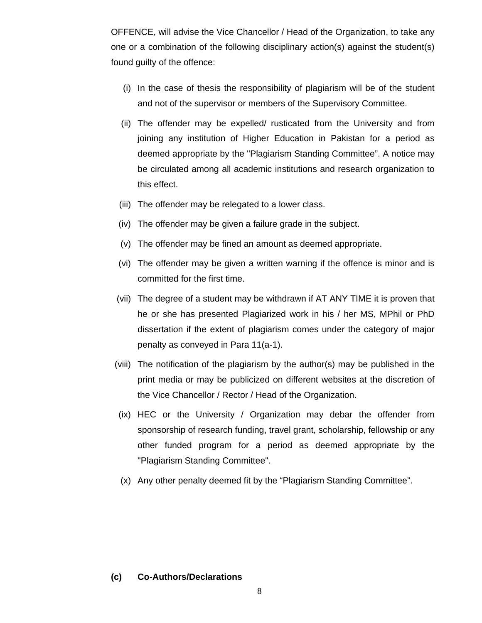OFFENCE, will advise the Vice Chancellor / Head of the Organization, to take any one or a combination of the following disciplinary action(s) against the student(s) found guilty of the offence:

- (i) In the case of thesis the responsibility of plagiarism will be of the student and not of the supervisor or members of the Supervisory Committee.
- (ii) The offender may be expelled/ rusticated from the University and from joining any institution of Higher Education in Pakistan for a period as deemed appropriate by the "Plagiarism Standing Committee". A notice may be circulated among all academic institutions and research organization to this effect.
- (iii) The offender may be relegated to a lower class.
- (iv) The offender may be given a failure grade in the subject.
- (v) The offender may be fined an amount as deemed appropriate.
- (vi) The offender may be given a written warning if the offence is minor and is committed for the first time.
- (vii) The degree of a student may be withdrawn if AT ANY TIME it is proven that he or she has presented Plagiarized work in his / her MS, MPhil or PhD dissertation if the extent of plagiarism comes under the category of major penalty as conveyed in Para 11(a-1).
- (viii) The notification of the plagiarism by the author(s) may be published in the print media or may be publicized on different websites at the discretion of the Vice Chancellor / Rector / Head of the Organization.
- (ix) HEC or the University / Organization may debar the offender from sponsorship of research funding, travel grant, scholarship, fellowship or any other funded program for a period as deemed appropriate by the "Plagiarism Standing Committee".
- (x) Any other penalty deemed fit by the "Plagiarism Standing Committee".

#### **(c) Co-Authors/Declarations**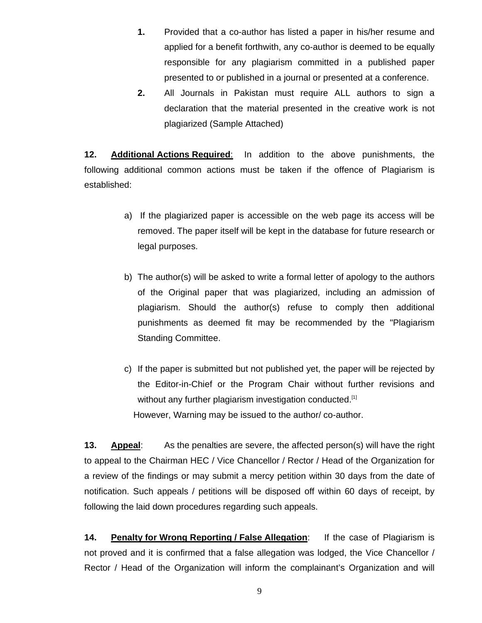- **1.** Provided that a co-author has listed a paper in his/her resume and applied for a benefit forthwith, any co-author is deemed to be equally responsible for any plagiarism committed in a published paper presented to or published in a journal or presented at a conference.
- **2.** All Journals in Pakistan must require ALL authors to sign a declaration that the material presented in the creative work is not plagiarized (Sample Attached)

**12. Additional Actions Required**: In addition to the above punishments, the following additional common actions must be taken if the offence of Plagiarism is established:

- a) If the plagiarized paper is accessible on the web page its access will be removed. The paper itself will be kept in the database for future research or legal purposes.
- b) The author(s) will be asked to write a formal letter of apology to the authors of the Original paper that was plagiarized, including an admission of plagiarism. Should the author(s) refuse to comply then additional punishments as deemed fit may be recommended by the "Plagiarism Standing Committee.
- c) If the paper is submitted but not published yet, the paper will be rejected by the Editor-in-Chief or the Program Chair without further revisions and without any further plagiarism investigation conducted.<sup>[1]</sup> However, Warning may be issued to the author/ co-author.

**13. Appeal**: As the penalties are severe, the affected person(s) will have the right to appeal to the Chairman HEC / Vice Chancellor / Rector / Head of the Organization for a review of the findings or may submit a mercy petition within 30 days from the date of notification. Such appeals / petitions will be disposed off within 60 days of receipt, by following the laid down procedures regarding such appeals.

**14. Penalty for Wrong Reporting / False Allegation**: If the case of Plagiarism is not proved and it is confirmed that a false allegation was lodged, the Vice Chancellor / Rector / Head of the Organization will inform the complainant's Organization and will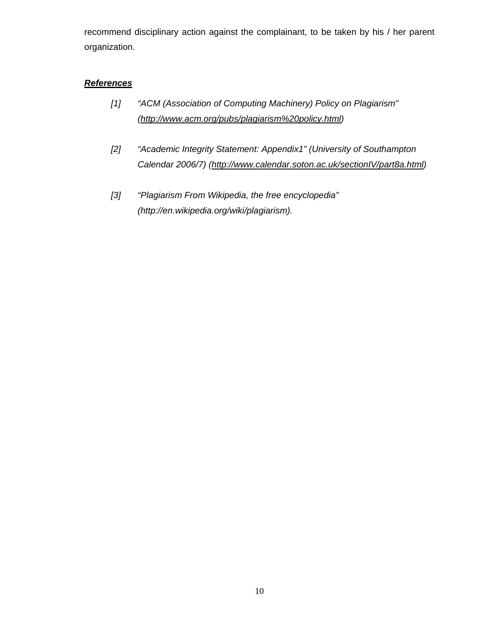recommend disciplinary action against the complainant, to be taken by his / her parent organization.

## *References*

- *[1] "ACM (Association of Computing Machinery) Policy on Plagiarism" (http://www.acm.org/pubs/plagiarism%20policy.html)*
- *[2] "Academic Integrity Statement: Appendix1" (University of Southampton Calendar 2006/7) (http://www.calendar.soton.ac.uk/sectionIV/part8a.html)*
- *[3] "Plagiarism From Wikipedia, the free encyclopedia" (http://en.wikipedia.org/wiki/plagiarism).*